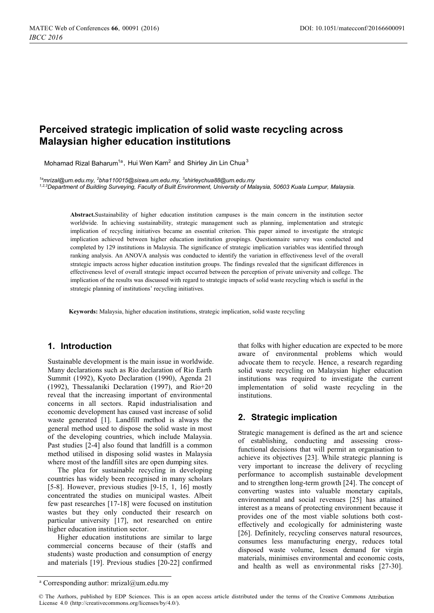# **Perceived strategic implication of solid waste recycling across Malaysian higher education institutions**

Mohamad Rizal Baharum<sup>1a</sup>, Hui Wen Kam<sup>2</sup> and Shirley Jin Lin Chua<sup>3</sup>

*[1amrizal@um.edu.my,](mailto:1amrizal@um.edu.my) 2 bha110015@siswa.um.edu.my, 3* <sup>1,2,3</sup>Department of Building Surveying, Faculty of Built Environment, University of Malaysia, 50603 Kuala Lumpur, Malaysia.

**Abstract.**Sustainability of higher education institution campuses is the main concern in the institution sector worldwide. In achieving sustainability, strategic management such as planning, implementation and strategic implication of recycling initiatives became an essential criterion. This paper aimed to investigate the strategic implication achieved between higher education institution groupings. Questionnaire survey was conducted and completed by 129 institutions in Malaysia. The significance of strategic implication variables was identified through ranking analysis. An ANOVA analysis was conducted to identify the variation in effectiveness level of the overall strategic impacts across higher education institution groups. The findings revealed that the significant differences in effectiveness level of overall strategic impact occurred between the perception of private university and college. The implication of the results was discussed with regard to strategic impacts of solid waste recycling which is useful in the strategic planning of institutions' recycling initiatives.

**Keywords:** Malaysia, higher education institutions, strategic implication, solid waste recycling

# **1. Introduction**

Sustainable development is the main issue in worldwide. Many declarations such as Rio declaration of Rio Earth Summit (1992), Kyoto Declaration (1990), Agenda 21 (1992), Thessalaniki Declaration (1997), and Rio+20 reveal that the increasing important of environmental concerns in all sectors. Rapid industrialisation and economic development has caused vast increase of solid waste generated [1]. Landfill method is always the general method used to dispose the solid waste in most of the developing countries, which include Malaysia. Past studies [2-4] also found that landfill is a common method utilised in disposing solid wastes in Malaysia where most of the landfill sites are open dumping sites.

The plea for sustainable recycling in developing countries has widely been recognised in many scholars [5-8]. However, previous studies [9-15, 1, 16] mostly concentrated the studies on municipal wastes. Albeit few past researches [17-18] were focused on institution wastes but they only conducted their research on particular university [17], not researched on entire higher education institution sector.

Higher education institutions are similar to large commercial concerns because of their (staffs and students) waste production and consumption of energy and materials [19]. Previous studies [20-22] confirmed that folks with higher education are expected to be more aware of environmental problems which would advocate them to recycle. Hence, a research regarding solid waste recycling on Malaysian higher education institutions was required to investigate the current implementation of solid waste recycling in the institutions.

# **2. Strategic implication**

Strategic management is defined as the art and science of establishing, conducting and assessing crossfunctional decisions that will permit an organisation to achieve its objectives [23]. While strategic planning is very important to increase the delivery of recycling performance to accomplish sustainable development and to strengthen long-term growth [24]. The concept of converting wastes into valuable monetary capitals, environmental and social revenues [25] has attained interest as a means of protecting environment because it provides one of the most viable solutions both costeffectively and ecologically for administering waste [26]. Definitely, recycling conserves natural resources, consumes less manufacturing energy, reduces total disposed waste volume, lessen demand for virgin materials, minimises environmental and economic costs, and health as well as environmental risks [27-30].

a Corresponding author: mrizal@um.edu.my

<sup>©</sup> The Authors, published by EDP Sciences. This is an open access article distributed under the terms of the Creative Commons Attribution License 4.0 [\(http://creativecommons.org/licenses/by/4.0/\).](http://creativecommons.org/licenses/by/4.0/)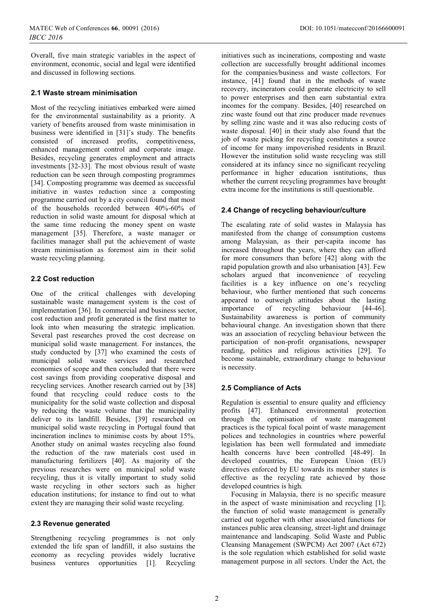Overall, five main strategic variables in the aspect of environment, economic, social and legal were identified and discussed in following sections.

#### **2.1 Waste stream minimisation**

Most of the recycling initiatives embarked were aimed for the environmental sustainability as a priority. A variety of benefits aroused from waste minimisation in business were identified in [31]'s study. The benefits consisted of increased profits, competitiveness, enhanced management control and corporate image. Besides, recycling generates employment and attracts investments [32-33]. The most obvious result of waste reduction can be seen through composting programmes [34]. Composting programme was deemed as successful initiative in wastes reduction since a composting programme carried out by a city council found that most of the households recorded between 40%-60% of reduction in solid waste amount for disposal which at the same time reducing the money spent on waste management [35]. Therefore, a waste manager or facilities manager shall put the achievement of waste stream minimisation as foremost aim in their solid waste recycling planning.

### **2.2 Cost reduction**

One of the critical challenges with developing sustainable waste management system is the cost of implementation [36]. In commercial and business sector, cost reduction and profit generated is the first matter to look into when measuring the strategic implication. Several past researches proved the cost decrease on municipal solid waste management. For instances, the study conducted by [37] who examined the costs of municipal solid waste services and researched economies of scope and then concluded that there were cost savings from providing cooperative disposal and recycling services. Another research carried out by [38] found that recycling could reduce costs to the municipality for the solid waste collection and disposal by reducing the waste volume that the municipality deliver to its landfill. Besides, [39] researched on municipal solid waste recycling in Portugal found that incineration inclines to minimise costs by about 15%. Another study on animal wastes recycling also found the reduction of the raw materials cost used in manufacturing fertilizers [40]. As majority of the previous researches were on municipal solid waste recycling, thus it is vitally important to study solid waste recycling in other sectors such as higher education institutions; for instance to find out to what extent they are managing their solid waste recycling.

### **2.3 Revenue generated**

Strengthening recycling programmes is not only extended the life span of landfill, it also sustains the economy as recycling provides widely lucrative business ventures opportunities [1]. Recycling initiatives such as incinerations, composting and waste collection are successfully brought additional incomes for the companies/business and waste collectors. For instance, [41] found that in the methods of waste recovery, incinerators could generate electricity to sell to power enterprises and then earn substantial extra incomes for the company. Besides, [40] researched on zinc waste found out that zinc producer made revenues by selling zinc waste and it was also reducing costs of waste disposal. [40] in their study also found that the job of waste picking for recycling constitutes a source of income for many impoverished residents in Brazil. However the institution solid waste recycling was still considered at its infancy since no significant recycling performance in higher education isntitutions, thus whether the current recycling programmes have brought extra income for the institutions is still questionable.

### **2.4 Change of recycling behaviour/culture**

The escalating rate of solid wastes in Malaysia has manifested from the change of consumption customs among Malaysian, as their per-capita income has increased throughout the years, where they can afford for more consumers than before [42] along with the rapid population growth and also urbanisation [43]. Few scholars argued that inconvenience of recycling facilities is a key influence on one's recycling behaviour, who further mentioned that such concerns appeared to outweigh attitudes about the lasting importance of recycling behaviour [44-46]. Sustainability awareness is portion of community behavioural change. An investigation shown that there was an association of recycling behaviour between the participation of non-profit organisations, newspaper reading, politics and religious activities [29]. To become sustainable, extraordinary change to behaviour is necessity.

### **2.5 Compliance of Acts**

Regulation is essential to ensure quality and efficiency profits [47]. Enhanced environmental protection through the optimisation of waste management practices is the typical focal point of waste management polices and technologies in countries where powerful legislation has been well formulated and immediate health concerns have been controlled [48-49]. In developed countries, the European Union (EU) directives enforced by EU towards its member states is effective as the recycling rate achieved by those developed countries is high.

Focusing in Malaysia, there is no specific measure in the aspect of waste minimisation and recycling [1]; the function of solid waste management is generally carried out together with other associated functions for instances public area cleansing, street-light and drainage maintenance and landscaping. Solid Waste and Public Cleansing Management (SWPCM) Act 2007 (Act 672) is the sole regulation which established for solid waste management purpose in all sectors. Under the Act, the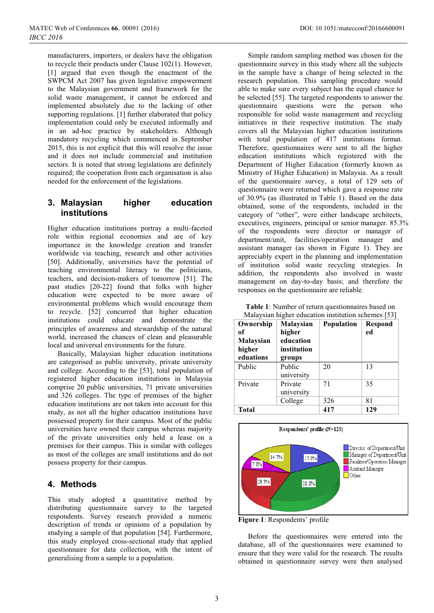manufacturers, importers, or dealers have the obligation to recycle their products under Clause 102(1). However, [1] argued that even though the enactment of the SWPCM Act 2007 has given legislative empowerment to the Malaysian government and framework for the solid waste management, it cannot be enforced and implemented absolutely due to the lacking of other supporting regulations. [1] further elaborated that policy implementation could only be executed informally and in an ad-hoc practice by stakeholders. Although mandatory recycling which commenced in September 2015, this is not explicit that this will resolve the issue and it does not include commercial and institution sectors. It is noted that strong legislations are definitely required; the cooperation from each organisation is also needed for the enforcement of the legislations.

### **3. Malaysian higher education institutions**

Higher education institutions portray a multi-faceted role within regional economies and are of key importance in the knowledge creation and transfer worldwide via teaching, research and other activities [50]. Additionally, universities have the potential of teaching environmental literacy to the politicians, teachers, and decision-makers of tomorrow [51]. The past studies [20-22] found that folks with higher education were expected to be more aware of environmental problems which would encourage them to recycle. [52] concurred that higher education institutions could educate and demonstrate the principles of awareness and stewardship of the natural world, increased the chances of clean and pleasurable local and universal environments for the future.

Basically, Malaysian higher education institutions are categorised as public university, private university and college. According to the [53], total population of registered higher education institutions in Malaysia comprise 20 public universities, 71 private universities and 326 colleges. The type of premises of the higher education institutions are not taken into account for this study, as not all the higher education institutions have possessed property for their campus. Most of the public universities have owned their campus whereas majority of the private universities only held a lease on a premises for their campus. This is similar with colleges as most of the colleges are small institutions and do not possess property for their campus.

# **4. Methods**

This study adopted a quantitative method by distributing questionnaire survey to the targeted respondents. Survey research provided a numeric description of trends or opinions of a population by studying a sample of that population [54]. Furthermore, this study employed cross-sectional study that applied questionnaire for data collection, with the intent of generalising from a sample to a population.

Simple random sampling method was chosen for the questionnaire survey in this study where all the subjects in the sample have a change of being selected in the research population. This sampling procedure would able to make sure every subject has the equal chance to be selected [55]. The targeted respondents to answer the questionnaire questions were the person who responsible for solid waste management and recycling initiatives in their respective institution. The study covers all the Malaysian higher education institutions with total population of 417 institutions format. Therefore, questionnaires were sent to all the higher education institutions which registered with the Department of Higher Education (formerly known as Ministry of Higher Education) in Malaysia. As a result of the questionnaire survey, a total of 129 sets of questionnaire were returned which gave a response rate of 30.9% (as illustrated in Table 1). Based on the data obtained, some of the respondents, included in the category of "other", were either landscape architects, executives, engineers, principal or senior manager. 85.3% of the respondents were director or manager of department/unit, facilities/operation manager and assistant manager (as shown in Figure 1). They are appreciably expert in the planning and implementation of institution solid waste recycling strategies. In addition, the respondents also involved in waste management on day-to-day basis; and therefore the responses on the questionnaire are reliable.

**Table 1**: Number of return questionnaires based on Malaysian higher education institution schemes [53]

| Ownership<br>of<br><b>Malaysian</b><br>higher<br>eduations | Malaysian<br>higher<br>education<br>institution<br>groups | <b>Population</b> | <b>Respond</b><br>ed |
|------------------------------------------------------------|-----------------------------------------------------------|-------------------|----------------------|
| Public                                                     | Public<br>university                                      | 20                | 13                   |
| Private                                                    | Private<br>university                                     | 71                | 35                   |
|                                                            | College                                                   | 326               | 81                   |
| <b>Total</b>                                               |                                                           | 417               | 129                  |



**Figure 1**: Respondents' profile

Before the questionnaires were entered into the database, all of the questionnaires were examined to ensure that they were valid for the research. The results obtained in questionnaire survey were then analysed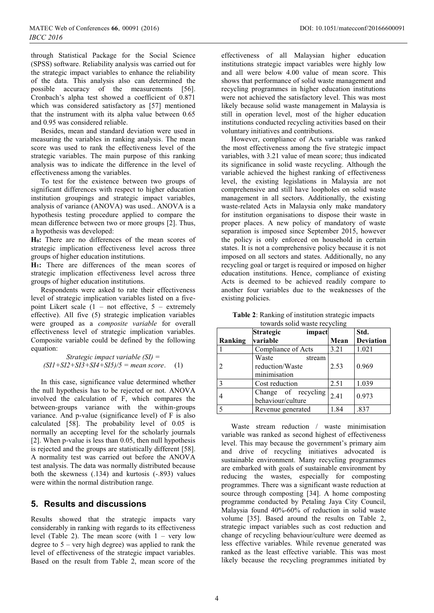through Statistical Package for the Social Science (SPSS) software. Reliability analysis was carried out for the strategic impact variables to enhance the reliability of the data. This analysis also can determined the possible accuracy of the measurements [56]. Cronbach's alpha test showed a coefficient of 0.871 which was considered satisfactory as [57] mentioned that the instrument with its alpha value between 0.65 and 0.95 was considered reliable.

Besides, mean and standard deviation were used in measuring the variables in ranking analysis. The mean score was used to rank the effectiveness level of the strategic variables. The main purpose of this ranking analysis was to indicate the difference in the level of effectiveness among the variables.

To test for the existence between two groups of significant differences with respect to higher education institution groupings and strategic impact variables, analysis of variance (ANOVA) was used.. ANOVA is a hypothesis testing procedure applied to compare the mean difference between two or more groups [2]. Thus, a hypothesis was developed:

**H0:** There are no differences of the mean scores of strategic implication effectiveness level across three groups of higher education institutions.

**H1:** There are differences of the mean scores of strategic implication effectiveness level across three groups of higher education institutions.

Respondents were asked to rate their effectiveness level of strategic implication variables listed on a fivepoint Likert scale  $(1 - not effective, 5 - extremely)$ effective). All five (5) strategic implication variables were grouped as a *composite variable* for overall effectiveness level of strategic implication variables. Composite variable could be defined by the following equation:

*Strategic impact variable (SI) =*   $(SII + SI2 + SI3 + SI4 + SI5)/5 = mean score.$  (1)

In this case, significance value determined whether the null hypothesis has to be rejected or not. ANOVA involved the calculation of F, which compares the between-groups variance with the within-groups variance. And p-value (significance level) of F is also calculated [58]. The probability level of 0.05 is normally an accepting level for the scholarly journals [2]. When p-value is less than 0.05, then null hypothesis is rejected and the groups are statistically different [58]. A normality test was carried out before the ANOVA test analysis. The data was normally distributed because both the skewness (.134) and kurtosis (-.893) values were within the normal distribution range.

### **5. Results and discussions**

Results showed that the strategic impacts vary considerably in ranking with regards to its effectiveness level (Table 2). The mean score (with  $1 - \text{very low}$ degree to  $5$  – very high degree) was applied to rank the level of effectiveness of the strategic impact variables. Based on the result from Table 2, mean score of the effectiveness of all Malaysian higher education institutions strategic impact variables were highly low and all were below 4.00 value of mean score. This shows that performance of solid waste management and recycling programmes in higher education institutions were not achieved the satisfactory level. This was most likely because solid waste management in Malaysia is still in operation level, most of the higher education institutions conducted recycling activities based on their voluntary initiatives and contributions.

However, compliance of Acts variable was ranked the most effectiveness among the five strategic impact variables, with 3.21 value of mean score; thus indicated its significance in solid waste recycling. Although the variable achieved the highest ranking of effectiveness level, the existing legislations in Malaysia are not comprehensive and still have loopholes on solid waste management in all sectors. Additionally, the existing waste-related Acts in Malaysia only make mandatory for institution organisations to dispose their waste in proper places. A new policy of mandatory of waste separation is imposed since September 2015, however the policy is only enforced on household in certain states. It is not a comprehensive policy because it is not imposed on all sectors and states. Additionally, no any recycling goal or target is required or imposed on higher education institutions. Hence, compliance of existing Acts is deemed to be achieved readily compare to another four variables due to the weaknesses of the existing policies.

|         | <b>Strategic</b><br>impact                         |      | Std.             |
|---------|----------------------------------------------------|------|------------------|
| Ranking | variable                                           | Mean | <b>Deviation</b> |
|         | Compliance of Acts                                 | 3.21 | 1.021            |
| 2       | Waste<br>stream<br>reduction/Waste<br>minimisation | 2.53 | 0.969            |
| 3       | Cost reduction                                     | 2.51 | 1.039            |
|         | Change of recycling<br>behaviour/culture           | 2.41 | 0.973            |
| 5       | Revenue generated                                  | 1.84 | .837             |

**Table 2**: Ranking of institution strategic impacts towards solid waste rec

Waste stream reduction / waste minimisation variable was ranked as second highest of effectiveness level. This may because the government's primary aim and drive of recycling initiatives advocated is sustainable environment. Many recycling programmes are embarked with goals of sustainable environment by reducing the wastes, especially for composting programmes. There was a significant waste reduction at source through composting [34]. A home composting programme conducted by Petaling Jaya City Council, Malaysia found 40%-60% of reduction in solid waste volume [35]. Based around the results on Table 2, strategic impact variables such as cost reduction and change of recycling behaviour/culture were deemed as less effective variables. While revenue generated was ranked as the least effective variable. This was most likely because the recycling programmes initiated by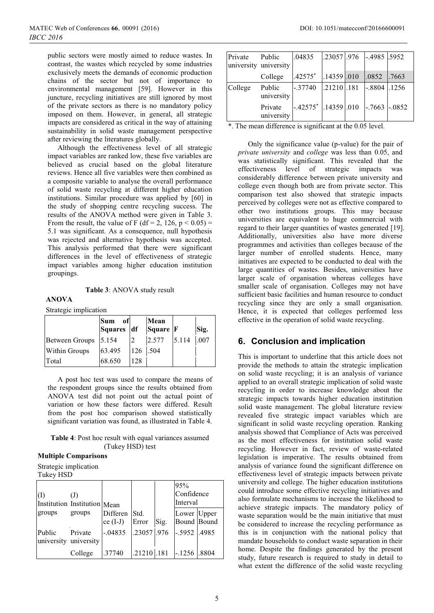public sectors were mostly aimed to reduce wastes. In contrast, the wastes which recycled by some industries exclusively meets the demands of economic production chains of the sector but not of importance to environmental management [59]. However in this juncture, recycling initiatives are still ignored by most of the private sectors as there is no mandatory policy imposed on them. However, in general, all strategic impacts are considered as critical in the way of attaining sustainability in solid waste management perspective after reviewing the literatures globally.

Although the effectiveness level of all strategic impact variables are ranked low, these five variables are believed as crucial based on the global literature reviews. Hence all five variables were then combined as a composite variable to analyse the overall performance of solid waste recycling at different higher education institutions. Similar procedure was applied by [60] in the study of shopping centre recycling success. The results of the ANOVA method were given in Table 3. From the result, the value of F (df = 2, 126, p <  $0.05$ ) = 5.1 was significant. As a consequence, null hypothesis was rejected and alternative hypothesis was accepted. This analysis performed that there were significant differences in the level of effectiveness of strategic impact variables among higher education institution groupings.

#### **Table 3**: ANOVA study result

#### **ANOVA**

Strategic implication

|                | of<br>Sum<br>Squares df |     | Mean<br>Square F |       | Sig. |
|----------------|-------------------------|-----|------------------|-------|------|
| Between Groups | 5.154                   |     | 2.577            | 5.114 | .007 |
| Within Groups  | 63.495                  | 126 | .504             |       |      |
| Total          | 68.650                  | 128 |                  |       |      |

A post hoc test was used to compare the means of the respondent groups since the results obtained from ANOVA test did not point out the actual point of variation or how these factors were differed. Result from the post hoc comparison showed statistically significant variation was found, as illustrated in Table 4.

**Table 4**: Post hoc result with equal variances assumed (Tukey HSD) test

#### **Multiple Comparisons**

Strategic implication Tukey HSD

| (I)                             | (J)<br>Institution Institution Mean |                        |               |      | 95%<br>Confidence<br>Interval       |       |
|---------------------------------|-------------------------------------|------------------------|---------------|------|-------------------------------------|-------|
| groups                          | groups                              | Differen<br>$ce (I-J)$ | Std.<br>Error | Sig. | Lower   Upper<br><b>Bound</b> Bound |       |
| Public<br>university university | Private                             | $-.04835$              | .23057.976    |      | $-.5952$ $.4985$                    |       |
|                                 | College                             | .37740                 | .21210.181    |      | $-1256$                             | .8804 |

| Private | Public<br>university university | .04835      | .23057.976    | $-.4985$ .5952  |        |
|---------|---------------------------------|-------------|---------------|-----------------|--------|
|         | College                         | $.42575*$   | .14359 .010   | .0852           | 1.7663 |
| College | Public<br>university            | $-.37740$   | $.21210$ .181 | $-.8804$        | 1.1256 |
|         | Private<br>university           | $-.42575$ * | $.14359$ .010 | $-7663$ $-0852$ |        |

\*. The mean difference is significant at the 0.05 level.

Only the significance value (p-value) for the pair of *private university* and *college* was less than 0.05, and was statistically significant. This revealed that the effectiveness level of strategic impacts was considerably difference between private university and college even though both are from private sector. This comparison test also showed that strategic impacts perceived by colleges were not as effective compared to other two institutions groups. This may because universities are equivalent to huge commercial with regard to their larger quantities of wastes generated [19]. Additionally, universities also have more diverse programmes and activities than colleges because of the larger number of enrolled students. Hence, many initiatives are expected to be conducted to deal with the large quantities of wastes. Besides, universities have larger scale of organisation whereas colleges have smaller scale of organisation. Colleges may not have sufficient basic facilities and human resource to conduct recycling since they are only a small organisation. Hence, it is expected that colleges performed less effective in the operation of solid waste recycling.

# **6. Conclusion and implication**

This is important to underline that this article does not provide the methods to attain the strategic implication on solid waste recycling; it is an analysis of variance applied to an overall strategic implication of solid waste recycling in order to increase knowledge about the strategic impacts towards higher education institution solid waste management. The global literature review revealed five strategic impact variables which are significant in solid waste recycling operation. Ranking analysis showed that Compliance of Acts was perceived as the most effectiveness for institution solid waste recycling. However in fact, review of waste-related legislation is imperative. The results obtained from analysis of variance found the significant difference on effectiveness level of strategic impacts between private university and college. The higher education institutions could introduce some effective recycling initiatives and also formulate mechanisms to increase the likelihood to achieve strategic impacts. The mandatory policy of waste separation would be the main initiative that must be considered to increase the recycling performance as this is in conjunction with the national policy that mandate households to conduct waste separation in their home. Despite the findings generated by the present study, future research is required to study in detail to what extent the difference of the solid waste recycling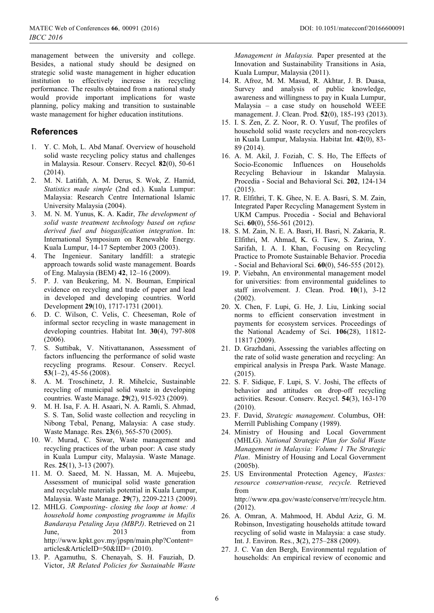management between the university and college. Besides, a national study should be designed on strategic solid waste management in higher education institution to effectively increase its recycling performance. The results obtained from a national study would provide important implications for waste planning, policy making and transition to sustainable waste management for higher education institutions.

# **References**

- 1. Y. C. Moh, L. Abd Manaf. Overview of household solid waste recycling policy status and challenges in Malaysia. Resour. Conserv. Recycl*.* **82**(0), 50-61 (2014).
- 2. M. N. Latifah, A. M. Derus, S. Wok, Z. Hamid, *Statistics made simple* (2nd ed.). Kuala Lumpur: Malaysia: Research Centre International Islamic University Malaysia (2004).
- 3. M. N. M. Yunus, K. A. Kadir, *The development of solid waste treatment technology based on refuse derived fuel and biogasification integration*. In: International Symposium on Renewable Energy. Kuala Lumpur, 14-17 September 2003 (2003).
- 4. The Ingenieur. Sanitary landfill: a strategic approach towards solid waste management. Boards of Eng. Malaysia (BEM) **42**, 12–16 (2009).
- 5. P. J. van Beukering, M. N. Bouman, Empirical evidence on recycling and trade of paper and lead in developed and developing countries. World Development **29**(10), 1717-1731 (2001).
- 6. D. C. Wilson, C. Velis, C. Cheeseman, Role of informal sector recycling in waste management in developing countries. Habitat Int. **30**(4), 797-808 (2006).
- 7. S. Suttibak, V. Nitivattananon, Assessment of factors influencing the performance of solid waste recycling programs. Resour. Conserv. Recycl. **53**(1–2), 45-56 (2008).
- 8. A. M. Troschinetz, J. R. Mihelcic, Sustainable recycling of municipal solid waste in developing countries. Waste Manage. **29**(2), 915-923 (2009).
- 9. M. H. Isa, F. A. H. Asaari, N. A. Ramli, S. Ahmad, S. S. Tan, Solid waste collection and recycling in Nibong Tebal, Penang, Malaysia: A case study. Waste Manage. Res. **23**(6), 565-570 (2005).
- 10. W. Murad, C. Siwar, Waste management and recycling practices of the urban poor: A case study in Kuala Lumpur city, Malaysia. Waste Manage. Res. **25**(1), 3-13 (2007).
- 11. M. O. Saeed, M. N. Hassan, M. A. Mujeebu, Assessment of municipal solid waste generation and recyclable materials potential in Kuala Lumpur, Malaysia. Waste Manage. **29**(7), 2209-2213 (2009).
- 12. MHLG. *Composting- closing the loop at home: A household home composting programme in Majlis Bandaraya Petaling Jaya (MBPJ)*. Retrieved on 21 June, 2013 from http://www.kpkt.gov.my/jpspn/main.php?Content= articles&ArticleID=50&IID= (2010).
- 13. P. Agamuthu, S. Chenayah, S. H. Fauziah, D. Victor, *3R Related Policies for Sustainable Waste*

*Management in Malaysia.* Paper presented at the Innovation and Sustainability Transitions in Asia, Kuala Lumpur, Malaysia (2011).

- 14. R. Afroz, M. M. Masud, R. Akhtar, J. B. Duasa, Survey and analysis of public knowledge, awareness and willingness to pay in Kuala Lumpur, Malaysia – a case study on household WEEE management. J. Clean. Prod. **52**(0), 185-193 (2013).
- 15. I. S. Zen, Z. Z. Noor, R. O. Yusuf, The profiles of household solid waste recyclers and non-recyclers in Kuala Lumpur, Malaysia. Habitat Int. **42**(0), 83- 89 (2014).
- 16. A. M. Akil, J. Foziah, C. S. Ho, The Effects of Socio-Economic Influences on Households Recycling Behaviour in Iskandar Malaysia. Procedia - Social and Behavioral Sci. **202**, 124-134 (2015).
- 17. R. Elfithri, T. K. Ghee, N. E. A. Basri, S. M. Zain, Integrated Paper Recycling Management System in UKM Campus. Procedia - Social and Behavioral Sci. **60**(0), 556-561 (2012).
- 18. S. M. Zain, N. E. A. Basri, H. Basri, N. Zakaria, R. Elfithri, M. Ahmad, K. G. Tiew, S. Zarina, Y. Sarifah, I. A. I. Khan, Focusing on Recycling Practice to Promote Sustainable Behavior. Procedia - Social and Behavioral Sci. **60**(0), 546-555 (2012).
- 19. P. Viebahn, An environmental management model for universities: from environmental guidelines to staff involvement. J. Clean. Prod. **10**(1), 3-12 (2002).
- 20. X. Chen, F. Lupi, G. He, J. Liu, Linking social norms to efficient conservation investment in payments for ecosystem services. Proceedings of the National Academy of Sci. **106**(28), 11812- 11817 (2009).
- 21. D. Grazhdani, Assessing the variables affecting on the rate of solid waste generation and recycling: An empirical analysis in Prespa Park. Waste Manage. (2015).
- 22. S. F. Sidique, F. Lupi, S. V. Joshi, The effects of behavior and attitudes on drop-off recycling activities. Resour. Conserv. Recycl. **54**(3), 163-170 (2010).
- 23. F. David, *Strategic management*. Columbus, OH: Merrill Publishing Company (1989).
- 24. Ministry of Housing and Local Government (MHLG). *National Strategic Plan for Solid Waste Management in Malaysia: Volume 1 The Strategic Plan*. Ministry of Housing and Local Government (2005b).
- 25. US Environmental Protection Agency, *Wastes: resource conservation-reuse, recycle.* Retrieved from

http://www.epa.gov/waste/conserve/rrr/recycle.htm. (2012).

- 26. A. Omran, A. Mahmood, H. Abdul Aziz, G. M. Robinson, Investigating households attitude toward recycling of solid waste in Malaysia: a case study. Int. J. Environ. Res., **3**(2), 275–288 (2009).
- 27. J. C. Van den Bergh, Environmental regulation of households: An empirical review of economic and